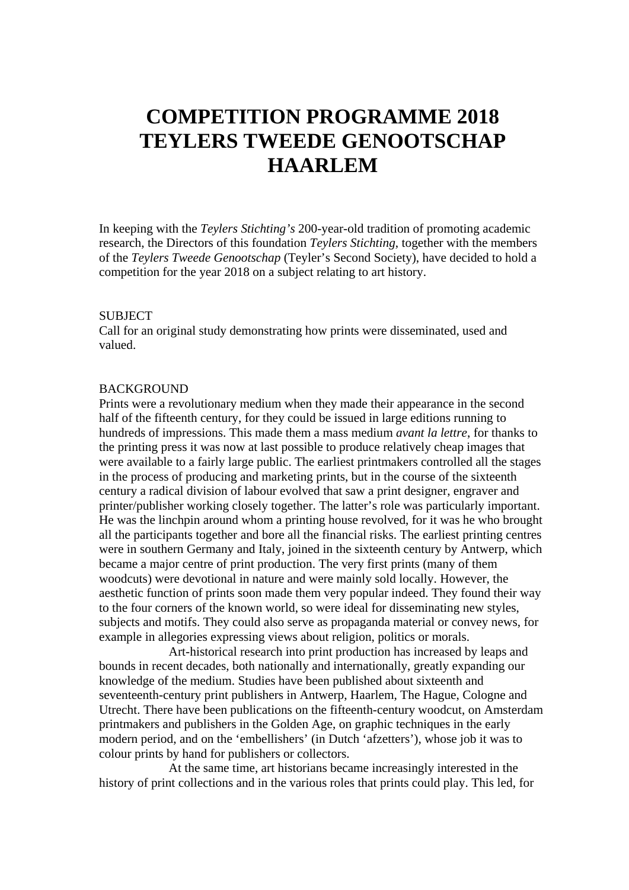# **COMPETITION PROGRAMME 2018 TEYLERS TWEEDE GENOOTSCHAP HAARLEM**

In keeping with the *Teylers Stichting's* 200-year-old tradition of promoting academic research, the Directors of this foundation *Teylers Stichting*, together with the members of the *Teylers Tweede Genootschap* (Teyler's Second Society), have decided to hold a competition for the year 2018 on a subject relating to art history.

#### SUBJECT

Call for an original study demonstrating how prints were disseminated, used and valued.

#### **BACKGROUND**

Prints were a revolutionary medium when they made their appearance in the second half of the fifteenth century, for they could be issued in large editions running to hundreds of impressions. This made them a mass medium *avant la lettre*, for thanks to the printing press it was now at last possible to produce relatively cheap images that were available to a fairly large public. The earliest printmakers controlled all the stages in the process of producing and marketing prints, but in the course of the sixteenth century a radical division of labour evolved that saw a print designer, engraver and printer/publisher working closely together. The latter's role was particularly important. He was the linchpin around whom a printing house revolved, for it was he who brought all the participants together and bore all the financial risks. The earliest printing centres were in southern Germany and Italy, joined in the sixteenth century by Antwerp, which became a major centre of print production. The very first prints (many of them woodcuts) were devotional in nature and were mainly sold locally. However, the aesthetic function of prints soon made them very popular indeed. They found their way to the four corners of the known world, so were ideal for disseminating new styles, subjects and motifs. They could also serve as propaganda material or convey news, for example in allegories expressing views about religion, politics or morals.

Art-historical research into print production has increased by leaps and bounds in recent decades, both nationally and internationally, greatly expanding our knowledge of the medium. Studies have been published about sixteenth and seventeenth-century print publishers in Antwerp, Haarlem, The Hague, Cologne and Utrecht. There have been publications on the fifteenth-century woodcut, on Amsterdam printmakers and publishers in the Golden Age, on graphic techniques in the early modern period, and on the 'embellishers' (in Dutch 'afzetters'), whose job it was to colour prints by hand for publishers or collectors.

At the same time, art historians became increasingly interested in the history of print collections and in the various roles that prints could play. This led, for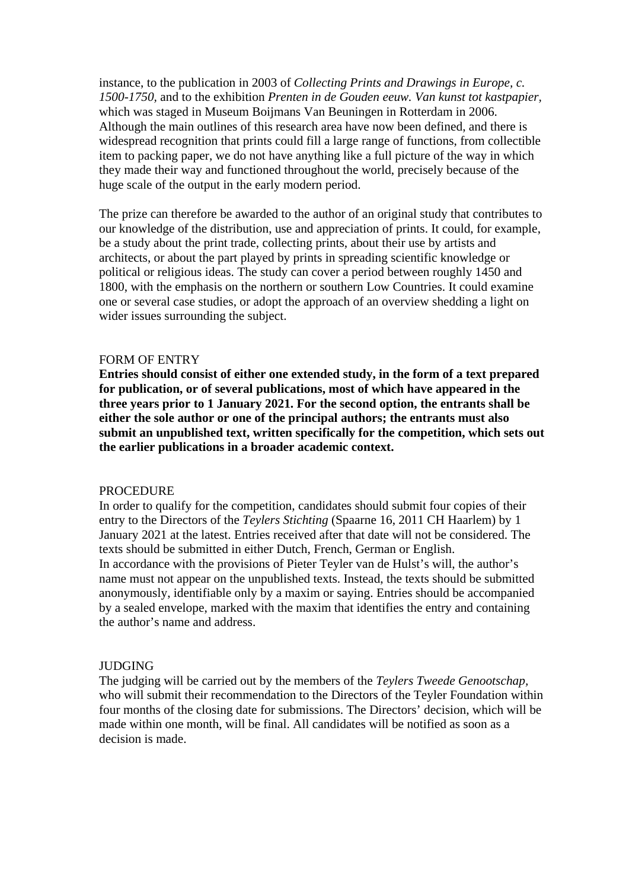instance, to the publication in 2003 of *Collecting Prints and Drawings in Europe, c. 1500-1750,* and to the exhibition *Prenten in de Gouden eeuw. Van kunst tot kastpapier,* which was staged in Museum Boijmans Van Beuningen in Rotterdam in 2006. Although the main outlines of this research area have now been defined, and there is widespread recognition that prints could fill a large range of functions, from collectible item to packing paper, we do not have anything like a full picture of the way in which they made their way and functioned throughout the world, precisely because of the huge scale of the output in the early modern period.

The prize can therefore be awarded to the author of an original study that contributes to our knowledge of the distribution, use and appreciation of prints. It could, for example, be a study about the print trade, collecting prints, about their use by artists and architects, or about the part played by prints in spreading scientific knowledge or political or religious ideas. The study can cover a period between roughly 1450 and 1800, with the emphasis on the northern or southern Low Countries. It could examine one or several case studies, or adopt the approach of an overview shedding a light on wider issues surrounding the subject.

#### FORM OF ENTRY

**Entries should consist of either one extended study, in the form of a text prepared for publication, or of several publications, most of which have appeared in the three years prior to 1 January 2021. For the second option, the entrants shall be either the sole author or one of the principal authors; the entrants must also submit an unpublished text, written specifically for the competition, which sets out the earlier publications in a broader academic context.**

#### PROCEDURE

In order to qualify for the competition, candidates should submit four copies of their entry to the Directors of the *Teylers Stichting* (Spaarne 16, 2011 CH Haarlem) by 1 January 2021 at the latest. Entries received after that date will not be considered. The texts should be submitted in either Dutch, French, German or English. In accordance with the provisions of Pieter Teyler van de Hulst's will, the author's name must not appear on the unpublished texts. Instead, the texts should be submitted anonymously, identifiable only by a maxim or saying. Entries should be accompanied by a sealed envelope, marked with the maxim that identifies the entry and containing the author's name and address.

#### JUDGING

The judging will be carried out by the members of the *Teylers Tweede Genootschap,* who will submit their recommendation to the Directors of the Teyler Foundation within four months of the closing date for submissions. The Directors' decision, which will be made within one month, will be final. All candidates will be notified as soon as a decision is made.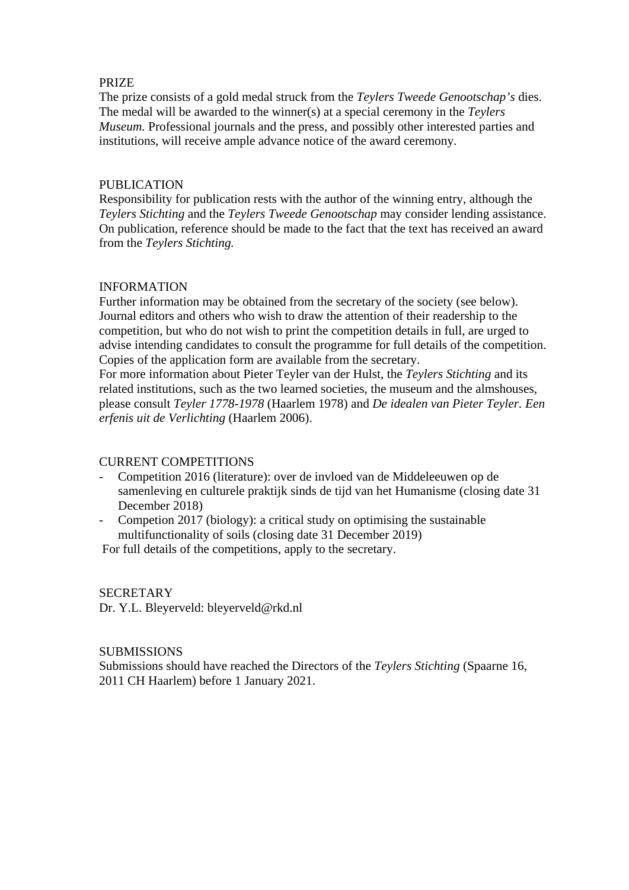## PRIZE

The prize consists of a gold medal struck from the *Teylers Tweede Genootschap's* dies. The medal will be awarded to the winner(s) at a special ceremony in the *Teylers Museum.* Professional journals and the press, and possibly other interested parties and institutions, will receive ample advance notice of the award ceremony.

# PUBLICATION

Responsibility for publication rests with the author of the winning entry, although the *Teylers Stichting* and the *Teylers Tweede Genootschap* may consider lending assistance. On publication, reference should be made to the fact that the text has received an award from the *Teylers Stichting.*

## INFORMATION

Further information may be obtained from the secretary of the society (see below). Journal editors and others who wish to draw the attention of their readership to the competition, but who do not wish to print the competition details in full, are urged to advise intending candidates to consult the programme for full details of the competition. Copies of the application form are available from the secretary.

For more information about Pieter Teyler van der Hulst, the *Teylers Stichting* and its related institutions, such as the two learned societies, the museum and the almshouses, please consult *Teyler 1778-1978* (Haarlem 1978) and *De idealen van Pieter Teyler. Een erfenis uit de Verlichting* (Haarlem 2006).

## CURRENT COMPETITIONS

- Competition 2016 (literature): over de invloed van de Middeleeuwen op de samenleving en culturele praktijk sinds de tijd van het Humanisme (closing date 31 December 2018)
- Competion 2017 (biology): a critical study on optimising the sustainable multifunctionality of soils (closing date 31 December 2019)

For full details of the competitions, apply to the secretary.

## SECRETARY

Dr. Y.L. Bleyerveld: bleyerveld@rkd.nl

## **SUBMISSIONS**

Submissions should have reached the Directors of the *Teylers Stichting* (Spaarne 16, 2011 CH Haarlem) before 1 January 2021.